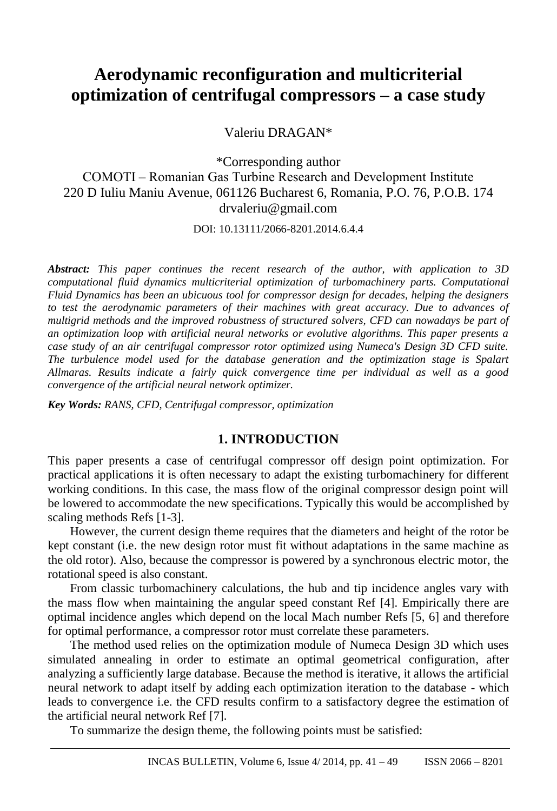# **Aerodynamic reconfiguration and multicriterial optimization of centrifugal compressors – a case study**

Valeriu DRAGAN\*

\*Corresponding author COMOTI ‒ Romanian Gas Turbine Research and Development Institute 220 D Iuliu Maniu Avenue, 061126 Bucharest 6, Romania, P.O. 76, P.O.B. 174 drvaleriu@gmail.com

DOI: 10.13111/2066-8201.2014.6.4.4

*Abstract: This paper continues the recent research of the author, with application to 3D computational fluid dynamics multicriterial optimization of turbomachinery parts. Computational Fluid Dynamics has been an ubicuous tool for compressor design for decades, helping the designers to test the aerodynamic parameters of their machines with great accuracy. Due to advances of multigrid methods and the improved robustness of structured solvers, CFD can nowadays be part of an optimization loop with artificial neural networks or evolutive algorithms. This paper presents a case study of an air centrifugal compressor rotor optimized using Numeca's Design 3D CFD suite. The turbulence model used for the database generation and the optimization stage is Spalart Allmaras. Results indicate a fairly quick convergence time per individual as well as a good convergence of the artificial neural network optimizer.*

*Key Words: RANS, CFD, Centrifugal compressor, optimization*

## **1. INTRODUCTION**

This paper presents a case of centrifugal compressor off design point optimization. For practical applications it is often necessary to adapt the existing turbomachinery for different working conditions. In this case, the mass flow of the original compressor design point will be lowered to accommodate the new specifications. Typically this would be accomplished by scaling methods Refs [1-3].

However, the current design theme requires that the diameters and height of the rotor be kept constant (i.e. the new design rotor must fit without adaptations in the same machine as the old rotor). Also, because the compressor is powered by a synchronous electric motor, the rotational speed is also constant.

From classic turbomachinery calculations, the hub and tip incidence angles vary with the mass flow when maintaining the angular speed constant Ref [4]. Empirically there are optimal incidence angles which depend on the local Mach number Refs [5, 6] and therefore for optimal performance, a compressor rotor must correlate these parameters.

The method used relies on the optimization module of Numeca Design 3D which uses simulated annealing in order to estimate an optimal geometrical configuration, after analyzing a sufficiently large database. Because the method is iterative, it allows the artificial neural network to adapt itself by adding each optimization iteration to the database - which leads to convergence i.e. the CFD results confirm to a satisfactory degree the estimation of the artificial neural network Ref [7].

To summarize the design theme, the following points must be satisfied: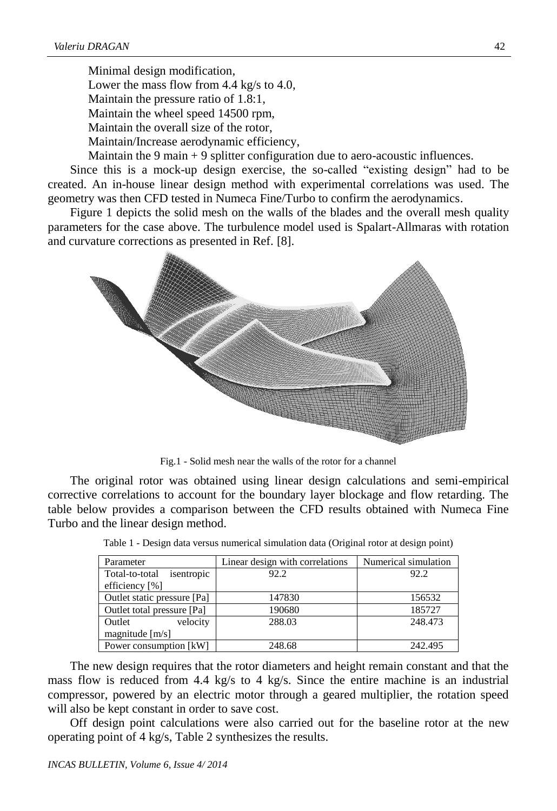Minimal design modification, Lower the mass flow from 4.4 kg/s to 4.0, Maintain the pressure ratio of 1.8:1, Maintain the wheel speed 14500 rpm, Maintain the overall size of the rotor, Maintain/Increase aerodynamic efficiency,

Maintain the 9 main + 9 splitter configuration due to aero-acoustic influences.

Since this is a mock-up design exercise, the so-called "existing design" had to be created. An in-house linear design method with experimental correlations was used. The geometry was then CFD tested in Numeca Fine/Turbo to confirm the aerodynamics.

Figure 1 depicts the solid mesh on the walls of the blades and the overall mesh quality parameters for the case above. The turbulence model used is Spalart-Allmaras with rotation and curvature corrections as presented in Ref. [8].



Fig.1 - Solid mesh near the walls of the rotor for a channel

The original rotor was obtained using linear design calculations and semi-empirical corrective correlations to account for the boundary layer blockage and flow retarding. The table below provides a comparison between the CFD results obtained with Numeca Fine Turbo and the linear design method.

| Parameter                    | Linear design with correlations | Numerical simulation |  |
|------------------------------|---------------------------------|----------------------|--|
| isentropic<br>Total-to-total | 92.2                            | 92.2                 |  |
| efficiency [%]               |                                 |                      |  |
| Outlet static pressure [Pa]  | 147830                          | 156532               |  |
| Outlet total pressure [Pa]   | 190680                          | 185727               |  |
| velocity<br>Outlet           | 288.03                          | 248.473              |  |
| magnitude $[m/s]$            |                                 |                      |  |
| Power consumption [kW]       | 248.68                          | 242.495              |  |

Table 1 - Design data versus numerical simulation data (Original rotor at design point)

The new design requires that the rotor diameters and height remain constant and that the mass flow is reduced from 4.4 kg/s to 4 kg/s. Since the entire machine is an industrial compressor, powered by an electric motor through a geared multiplier, the rotation speed will also be kept constant in order to save cost.

Off design point calculations were also carried out for the baseline rotor at the new operating point of 4 kg/s, Table 2 synthesizes the results.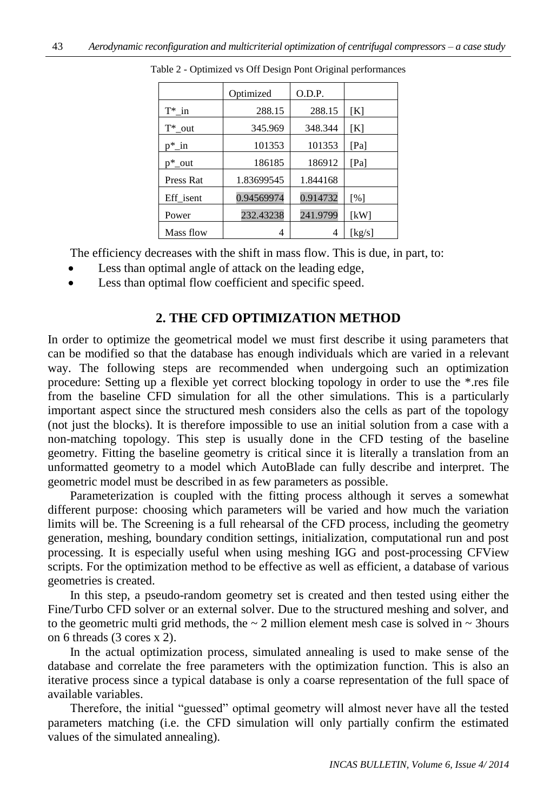|           | Optimized  | O.D.P.   |                   |
|-----------|------------|----------|-------------------|
| $T^*$ in  | 288.15     | 288.15   | [K]               |
| $T^*$ out | 345.969    | 348.344  | [K]               |
| $p^*$ in  | 101353     | 101353   | [Pa]              |
| $p^*$ out | 186185     | 186912   | [Pa]              |
| Press Rat | 1.83699545 | 1.844168 |                   |
| Eff isent | 0.94569974 | 0.914732 | $\lceil\% \rceil$ |
| Power     | 232.43238  | 241.9799 | [kW]              |
| Mass flow | 4          | 4        | [kg/s]            |

Table 2 - Optimized vs Off Design Pont Original performances

The efficiency decreases with the shift in mass flow. This is due, in part, to:

- Less than optimal angle of attack on the leading edge,
- Less than optimal flow coefficient and specific speed.

## **2. THE CFD OPTIMIZATION METHOD**

In order to optimize the geometrical model we must first describe it using parameters that can be modified so that the database has enough individuals which are varied in a relevant way. The following steps are recommended when undergoing such an optimization procedure: Setting up a flexible yet correct blocking topology in order to use the \*.res file from the baseline CFD simulation for all the other simulations. This is a particularly important aspect since the structured mesh considers also the cells as part of the topology (not just the blocks). It is therefore impossible to use an initial solution from a case with a non-matching topology. This step is usually done in the CFD testing of the baseline geometry. Fitting the baseline geometry is critical since it is literally a translation from an unformatted geometry to a model which AutoBlade can fully describe and interpret. The geometric model must be described in as few parameters as possible.

Parameterization is coupled with the fitting process although it serves a somewhat different purpose: choosing which parameters will be varied and how much the variation limits will be. The Screening is a full rehearsal of the CFD process, including the geometry generation, meshing, boundary condition settings, initialization, computational run and post processing. It is especially useful when using meshing IGG and post-processing CFView scripts. For the optimization method to be effective as well as efficient, a database of various geometries is created.

In this step, a pseudo-random geometry set is created and then tested using either the Fine/Turbo CFD solver or an external solver. Due to the structured meshing and solver, and to the geometric multi grid methods, the  $\sim$  2 million element mesh case is solved in  $\sim$  3 hours on 6 threads (3 cores x 2).

In the actual optimization process, simulated annealing is used to make sense of the database and correlate the free parameters with the optimization function. This is also an iterative process since a typical database is only a coarse representation of the full space of available variables.

Therefore, the initial "guessed" optimal geometry will almost never have all the tested parameters matching (i.e. the CFD simulation will only partially confirm the estimated values of the simulated annealing).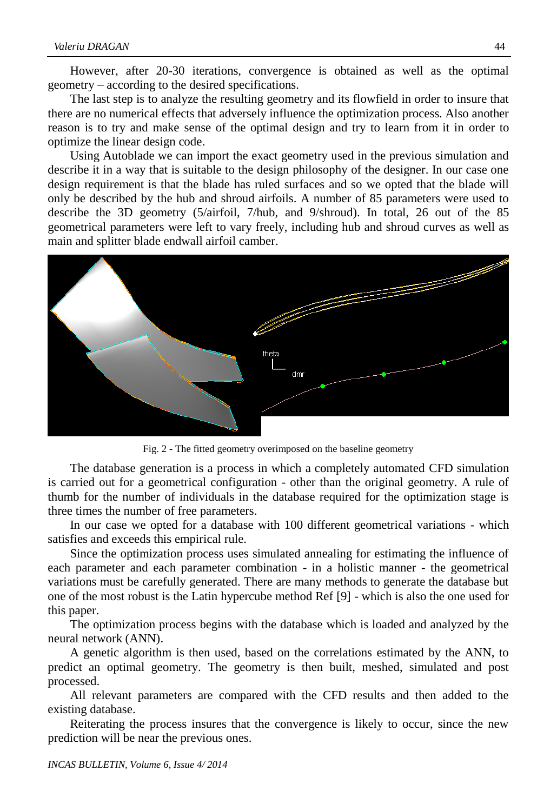However, after 20-30 iterations, convergence is obtained as well as the optimal geometry – according to the desired specifications.

The last step is to analyze the resulting geometry and its flowfield in order to insure that there are no numerical effects that adversely influence the optimization process. Also another reason is to try and make sense of the optimal design and try to learn from it in order to optimize the linear design code.

Using Autoblade we can import the exact geometry used in the previous simulation and describe it in a way that is suitable to the design philosophy of the designer. In our case one design requirement is that the blade has ruled surfaces and so we opted that the blade will only be described by the hub and shroud airfoils. A number of 85 parameters were used to describe the 3D geometry (5/airfoil, 7/hub, and 9/shroud). In total, 26 out of the 85 geometrical parameters were left to vary freely, including hub and shroud curves as well as main and splitter blade endwall airfoil camber.



Fig. 2 - The fitted geometry overimposed on the baseline geometry

The database generation is a process in which a completely automated CFD simulation is carried out for a geometrical configuration - other than the original geometry. A rule of thumb for the number of individuals in the database required for the optimization stage is three times the number of free parameters.

In our case we opted for a database with 100 different geometrical variations - which satisfies and exceeds this empirical rule.

Since the optimization process uses simulated annealing for estimating the influence of each parameter and each parameter combination - in a holistic manner - the geometrical variations must be carefully generated. There are many methods to generate the database but one of the most robust is the Latin hypercube method Ref [9] - which is also the one used for this paper.

The optimization process begins with the database which is loaded and analyzed by the neural network (ANN).

A genetic algorithm is then used, based on the correlations estimated by the ANN, to predict an optimal geometry. The geometry is then built, meshed, simulated and post processed.

All relevant parameters are compared with the CFD results and then added to the existing database.

Reiterating the process insures that the convergence is likely to occur, since the new prediction will be near the previous ones.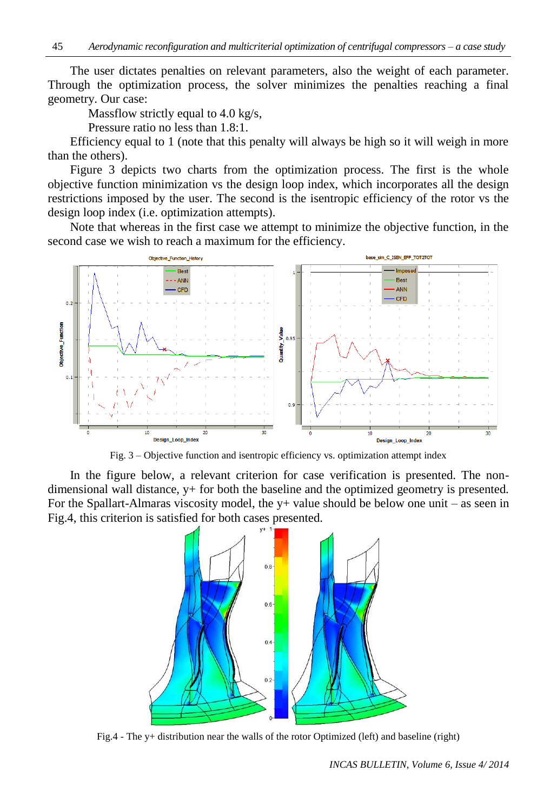The user dictates penalties on relevant parameters, also the weight of each parameter. Through the optimization process, the solver minimizes the penalties reaching a final geometry. Our case:

Massflow strictly equal to 4.0 kg/s,

Pressure ratio no less than 1.8:1.

Efficiency equal to 1 (note that this penalty will always be high so it will weigh in more than the others).

Figure 3 depicts two charts from the optimization process. The first is the whole objective function minimization vs the design loop index, which incorporates all the design restrictions imposed by the user. The second is the isentropic efficiency of the rotor vs the design loop index (i.e. optimization attempts).

Note that whereas in the first case we attempt to minimize the objective function, in the second case we wish to reach a maximum for the efficiency.



Fig. 3 – Objective function and isentropic efficiency vs. optimization attempt index

In the figure below, a relevant criterion for case verification is presented. The nondimensional wall distance, y+ for both the baseline and the optimized geometry is presented. For the Spallart-Almaras viscosity model, the  $y+$  value should be below one unit – as seen in Fig.4, this criterion is satisfied for both cases presented.



Fig.4 - The y+ distribution near the walls of the rotor Optimized (left) and baseline (right)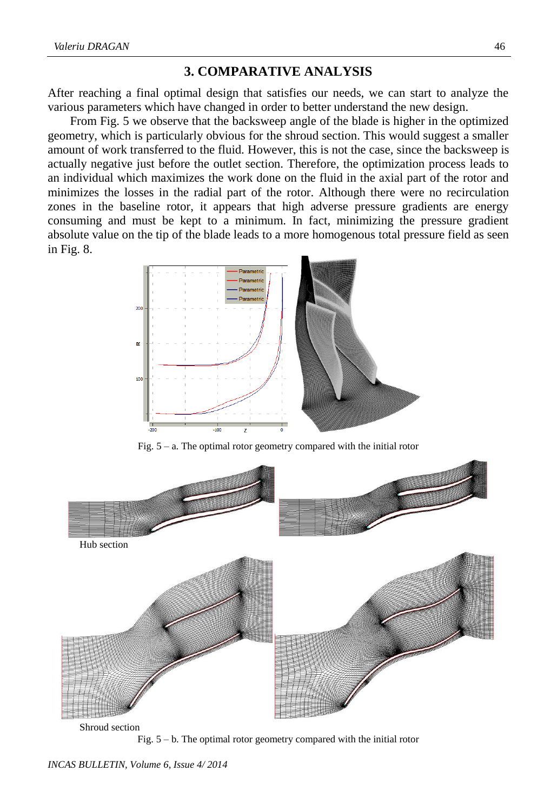### **3. COMPARATIVE ANALYSIS**

After reaching a final optimal design that satisfies our needs, we can start to analyze the various parameters which have changed in order to better understand the new design.

From Fig. 5 we observe that the backsweep angle of the blade is higher in the optimized geometry, which is particularly obvious for the shroud section. This would suggest a smaller amount of work transferred to the fluid. However, this is not the case, since the backsweep is actually negative just before the outlet section. Therefore, the optimization process leads to an individual which maximizes the work done on the fluid in the axial part of the rotor and minimizes the losses in the radial part of the rotor. Although there were no recirculation zones in the baseline rotor, it appears that high adverse pressure gradients are energy consuming and must be kept to a minimum. In fact, minimizing the pressure gradient absolute value on the tip of the blade leads to a more homogenous total pressure field as seen in Fig. 8.



Fig.  $5 - a$ . The optimal rotor geometry compared with the initial rotor



Fig. 5 – b. The optimal rotor geometry compared with the initial rotor

*INCAS BULLETIN, Volume 6, Issue 4/ 2014*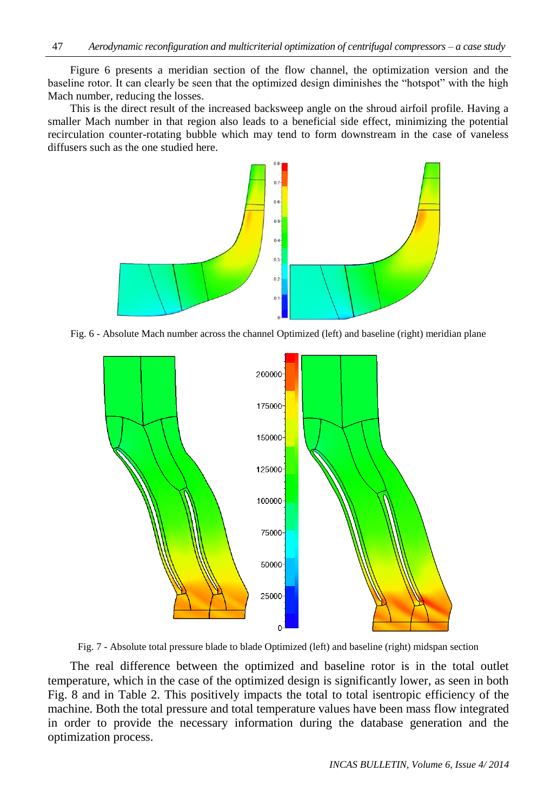Figure 6 presents a meridian section of the flow channel, the optimization version and the baseline rotor. It can clearly be seen that the optimized design diminishes the "hotspot" with the high Mach number, reducing the losses.

This is the direct result of the increased backsweep angle on the shroud airfoil profile. Having a smaller Mach number in that region also leads to a beneficial side effect, minimizing the potential recirculation counter-rotating bubble which may tend to form downstream in the case of vaneless diffusers such as the one studied here.



Fig. 6 - Absolute Mach number across the channel Optimized (left) and baseline (right) meridian plane



Fig. 7 - Absolute total pressure blade to blade Optimized (left) and baseline (right) midspan section

The real difference between the optimized and baseline rotor is in the total outlet temperature, which in the case of the optimized design is significantly lower, as seen in both Fig. 8 and in Table 2. This positively impacts the total to total isentropic efficiency of the machine. Both the total pressure and total temperature values have been mass flow integrated in order to provide the necessary information during the database generation and the optimization process.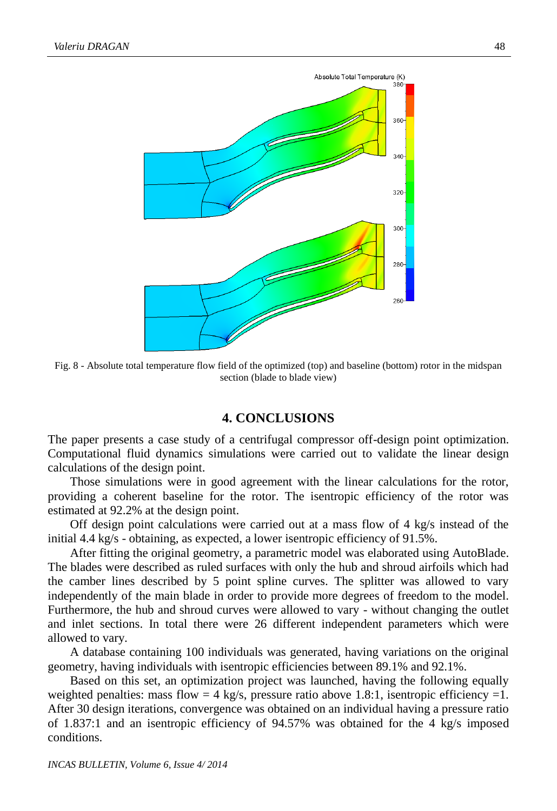

Fig. 8 - Absolute total temperature flow field of the optimized (top) and baseline (bottom) rotor in the midspan section (blade to blade view)

#### **4. CONCLUSIONS**

The paper presents a case study of a centrifugal compressor off-design point optimization. Computational fluid dynamics simulations were carried out to validate the linear design calculations of the design point.

Those simulations were in good agreement with the linear calculations for the rotor, providing a coherent baseline for the rotor. The isentropic efficiency of the rotor was estimated at 92.2% at the design point.

Off design point calculations were carried out at a mass flow of 4 kg/s instead of the initial 4.4 kg/s - obtaining, as expected, a lower isentropic efficiency of 91.5%.

After fitting the original geometry, a parametric model was elaborated using AutoBlade. The blades were described as ruled surfaces with only the hub and shroud airfoils which had the camber lines described by 5 point spline curves. The splitter was allowed to vary independently of the main blade in order to provide more degrees of freedom to the model. Furthermore, the hub and shroud curves were allowed to vary - without changing the outlet and inlet sections. In total there were 26 different independent parameters which were allowed to vary.

A database containing 100 individuals was generated, having variations on the original geometry, having individuals with isentropic efficiencies between 89.1% and 92.1%.

Based on this set, an optimization project was launched, having the following equally weighted penalties: mass flow  $= 4$  kg/s, pressure ratio above 1.8:1, isentropic efficiency  $= 1$ . After 30 design iterations, convergence was obtained on an individual having a pressure ratio of 1.837:1 and an isentropic efficiency of 94.57% was obtained for the 4 kg/s imposed conditions.